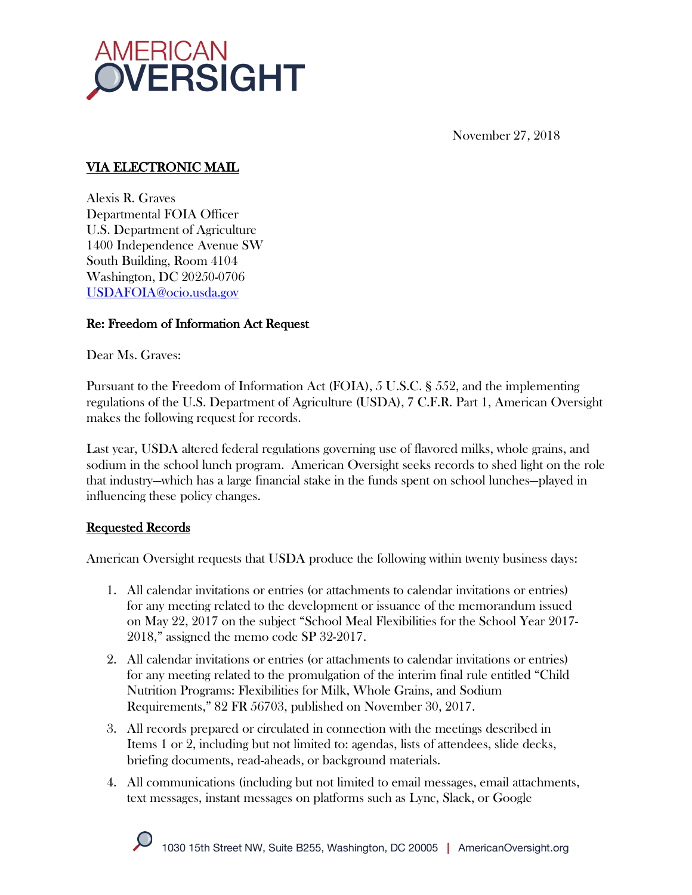

November 27, 2018

### VIA ELECTRONIC MAIL

Alexis R. Graves Departmental FOIA Officer U.S. Department of Agriculture 1400 Independence Avenue SW South Building, Room 4104 Washington, DC 20250-0706 USDAFOIA@ocio.usda.gov

#### Re: Freedom of Information Act Request

Dear Ms. Graves:

Pursuant to the Freedom of Information Act (FOIA), 5 U.S.C. § 552, and the implementing regulations of the U.S. Department of Agriculture (USDA), 7 C.F.R. Part 1, American Oversight makes the following request for records.

Last year, USDA altered federal regulations governing use of flavored milks, whole grains, and sodium in the school lunch program. American Oversight seeks records to shed light on the role that industry—which has a large financial stake in the funds spent on school lunches—played in influencing these policy changes.

#### Requested Records

American Oversight requests that USDA produce the following within twenty business days:

- 1. All calendar invitations or entries (or attachments to calendar invitations or entries) for any meeting related to the development or issuance of the memorandum issued on May 22, 2017 on the subject "School Meal Flexibilities for the School Year 2017- 2018," assigned the memo code SP 32-2017.
- 2. All calendar invitations or entries (or attachments to calendar invitations or entries) for any meeting related to the promulgation of the interim final rule entitled "Child Nutrition Programs: Flexibilities for Milk, Whole Grains, and Sodium Requirements," 82 FR 56703, published on November 30, 2017.
- 3. All records prepared or circulated in connection with the meetings described in Items 1 or 2, including but not limited to: agendas, lists of attendees, slide decks, briefing documents, read-aheads, or background materials.
- 4. All communications (including but not limited to email messages, email attachments, text messages, instant messages on platforms such as Lync, Slack, or Google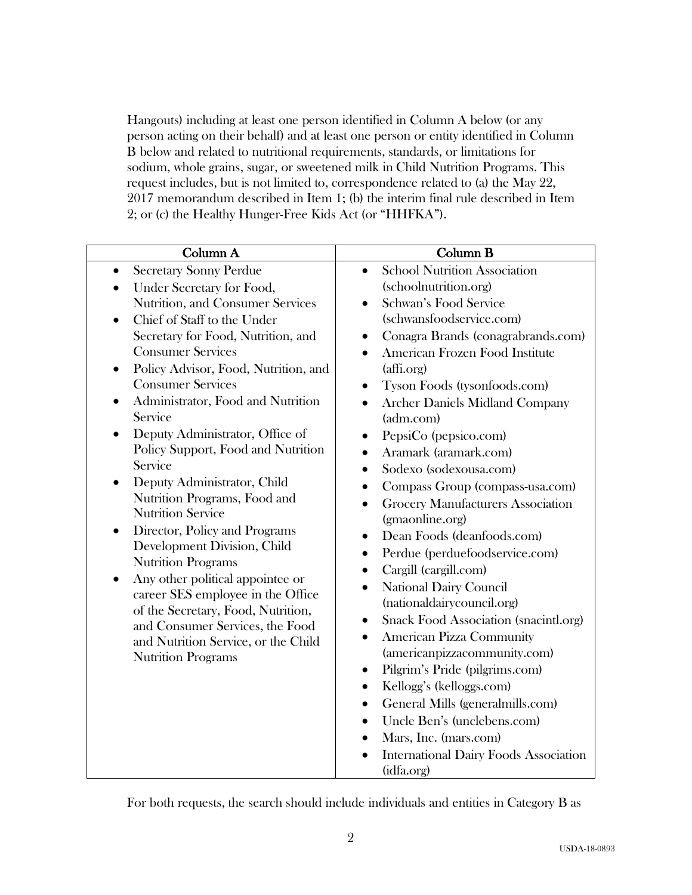Hangouts) including at least one person identified in Column A below (or any person acting on their behalf) and at least one person or entity identified in Column B below and related to nutritional requirements, standards, or limitations for sodium, whole grains, sugar, or sweetened milk in Child Nutrition Programs. This request includes, but is not limited to, correspondence related to (a) the May 22, 2017 memorandum described in Item 1; (b) the interim final rule described in Item 2; or (c) the Healthy Hunger-Free Kids Act (or "HHFKA").

For both requests, the search should include individuals and entities in Category B as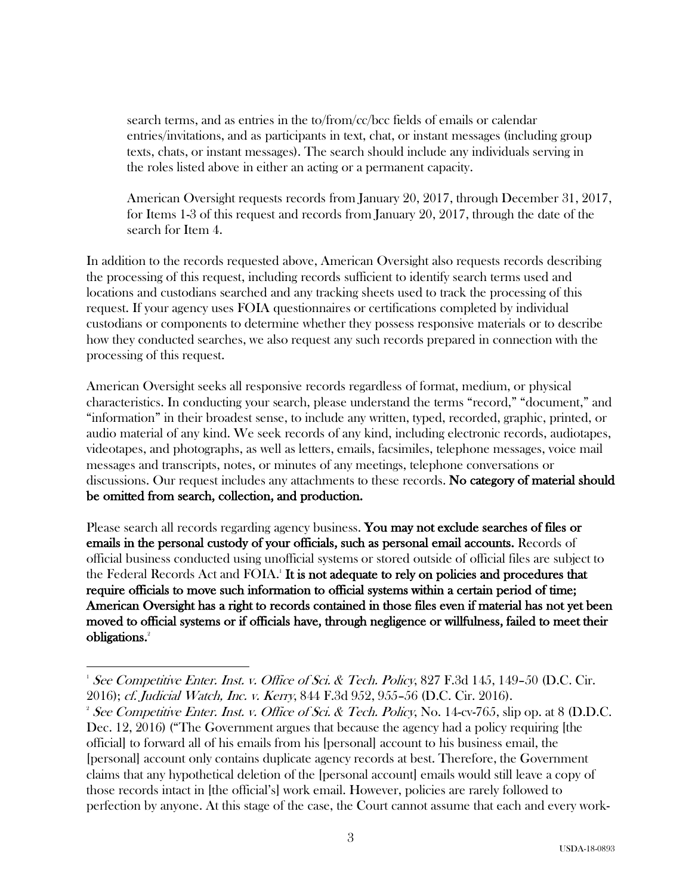search terms, and as entries in the to/from/cc/bcc fields of emails or calendar entries/invitations, and as participants in text, chat, or instant messages (including group texts, chats, or instant messages). The search should include any individuals serving in the roles listed above in either an acting or a permanent capacity.

American Oversight requests records from January 20, 2017, through December 31, 2017, for Items 1-3 of this request and records from January 20, 2017, through the date of the search for Item 4.

In addition to the records requested above, American Oversight also requests records describing the processing of this request, including records sufficient to identify search terms used and locations and custodians searched and any tracking sheets used to track the processing of this request. If your agency uses FOIA questionnaires or certifications completed by individual custodians or components to determine whether they possess responsive materials or to describe how they conducted searches, we also request any such records prepared in connection with the processing of this request.

American Oversight seeks all responsive records regardless of format, medium, or physical characteristics. In conducting your search, please understand the terms "record," "document," and "information" in their broadest sense, to include any written, typed, recorded, graphic, printed, or audio material of any kind. We seek records of any kind, including electronic records, audiotapes, videotapes, and photographs, as well as letters, emails, facsimiles, telephone messages, voice mail messages and transcripts, notes, or minutes of any meetings, telephone conversations or discussions. Our request includes any attachments to these records. No category of material should be omitted from search, collection, and production.

Please search all records regarding agency business. You may not exclude searches of files or emails in the personal custody of your officials, such as personal email accounts. Records of official business conducted using unofficial systems or stored outside of official files are subject to the Federal Records Act and FOIA.<sup>1</sup> It is not adequate to rely on policies and procedures that require officials to move such information to official systems within a certain period of time; American Oversight has a right to records contained in those files even if material has not yet been moved to official systems or if officials have, through negligence or willfulness, failed to meet their obligations.<sup>2</sup>

 

 $^1$  See Competitive Enter. Inst. v. Office of Sci. & Tech. Policy, 827 F.3d 145, 149–50 (D.C. Cir. 2016); cf. Judicial Watch, Inc. v. Kerry, 844 F.3d 952, 955–56 (D.C. Cir. 2016). 2

<sup>&</sup>lt;sup>2</sup> See Competitive Enter. Inst. v. Office of Sci. & Tech. Policy, No. 14-cv-765, slip op. at 8 (D.D.C. Dec. 12, 2016) ("The Government argues that because the agency had a policy requiring [the official] to forward all of his emails from his [personal] account to his business email, the [personal] account only contains duplicate agency records at best. Therefore, the Government claims that any hypothetical deletion of the [personal account] emails would still leave a copy of those records intact in [the official's] work email. However, policies are rarely followed to perfection by anyone. At this stage of the case, the Court cannot assume that each and every work-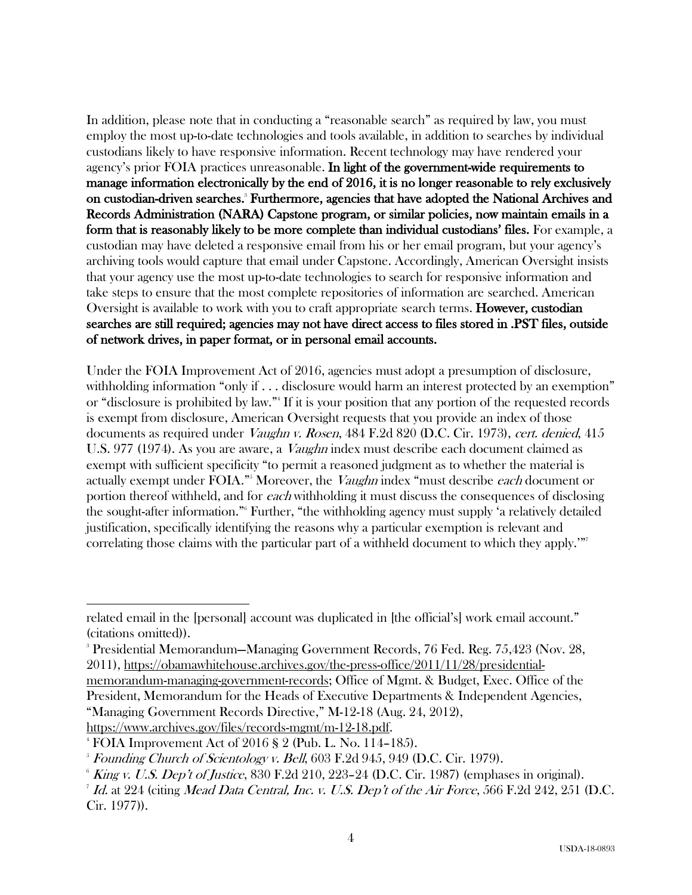In addition, please note that in conducting a "reasonable search" as required by law, you must employ the most up-to-date technologies and tools available, in addition to searches by individual custodians likely to have responsive information. Recent technology may have rendered your agency's prior FOIA practices unreasonable. In light of the government-wide requirements to manage information electronically by the end of 2016, it is no longer reasonable to rely exclusively on custodian-driven searches.<sup>3</sup> Furthermore, agencies that have adopted the National Archives and Records Administration (NARA) Capstone program, or similar policies, now maintain emails in a form that is reasonably likely to be more complete than individual custodians' files. For example, a custodian may have deleted a responsive email from his or her email program, but your agency's archiving tools would capture that email under Capstone. Accordingly, American Oversight insists that your agency use the most up-to-date technologies to search for responsive information and take steps to ensure that the most complete repositories of information are searched. American Oversight is available to work with you to craft appropriate search terms. **However, custodian** searches are still required; agencies may not have direct access to files stored in .PST files, outside of network drives, in paper format, or in personal email accounts.

Under the FOIA Improvement Act of 2016, agencies must adopt a presumption of disclosure, withholding information "only if . . . disclosure would harm an interest protected by an exemption" or "disclosure is prohibited by law."4 If it is your position that any portion of the requested records is exempt from disclosure, American Oversight requests that you provide an index of those documents as required under Vaughn v. Rosen, 484 F.2d 820 (D.C. Cir. 1973), cert. denied, 415 U.S. 977 (1974). As you are aware, a *Vaughn* index must describe each document claimed as exempt with sufficient specificity "to permit a reasoned judgment as to whether the material is actually exempt under FOIA."<sup>5</sup> Moreover, the *Vaughn* index "must describe *each* document or portion thereof withheld, and for each withholding it must discuss the consequences of disclosing the sought-after information."6 Further, "the withholding agency must supply 'a relatively detailed justification, specifically identifying the reasons why a particular exemption is relevant and correlating those claims with the particular part of a withheld document to which they apply.'"

memorandum-managing-government-records; Office of Mgmt. & Budget, Exec. Office of the President, Memorandum for the Heads of Executive Departments & Independent Agencies, "Managing Government Records Directive," M-12-18 (Aug. 24, 2012),

 

related email in the [personal] account was duplicated in [the official's] work email account." (citations omitted)).

<sup>3</sup> Presidential Memorandum—Managing Government Records, 76 Fed. Reg. 75,423 (Nov. 28, 2011), https://obamawhitehouse.archives.gov/the-press-office/2011/11/28/presidential-

https://www.archives.gov/files/records-mgmt/m-12-18.pdf. 4

 $4$  FOIA Improvement Act of 2016 § 2 (Pub. L. No. 114–185).

 $5$  Founding Church of Scientology v. Bell, 603 F.2d 945, 949 (D.C. Cir. 1979).

 $6$  King v. U.S. Dep't of Justice, 830 F.2d 210, 223–24 (D.C. Cir. 1987) (emphases in original).

<sup>&</sup>lt;sup>7</sup> Id. at 224 (citing Mead Data Central, Inc. v. U.S. Dep't of the Air Force, 566 F.2d 242, 251 (D.C. Cir. 1977)).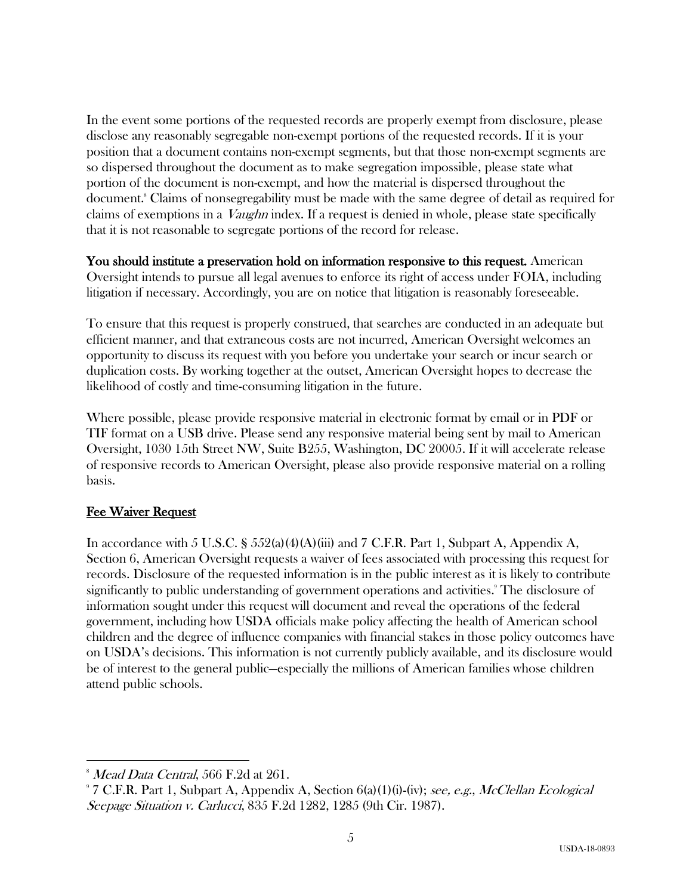In the event some portions of the requested records are properly exempt from disclosure, please disclose any reasonably segregable non-exempt portions of the requested records. If it is your position that a document contains non-exempt segments, but that those non-exempt segments are so dispersed throughout the document as to make segregation impossible, please state what portion of the document is non-exempt, and how the material is dispersed throughout the document.<sup>8</sup> Claims of nonsegregability must be made with the same degree of detail as required for claims of exemptions in a Vaughn index. If a request is denied in whole, please state specifically that it is not reasonable to segregate portions of the record for release.

You should institute a preservation hold on information responsive to this request. American Oversight intends to pursue all legal avenues to enforce its right of access under FOIA, including litigation if necessary. Accordingly, you are on notice that litigation is reasonably foreseeable.

To ensure that this request is properly construed, that searches are conducted in an adequate but efficient manner, and that extraneous costs are not incurred, American Oversight welcomes an opportunity to discuss its request with you before you undertake your search or incur search or duplication costs. By working together at the outset, American Oversight hopes to decrease the likelihood of costly and time-consuming litigation in the future.

Where possible, please provide responsive material in electronic format by email or in PDF or TIF format on a USB drive. Please send any responsive material being sent by mail to American Oversight, 1030 15th Street NW, Suite B255, Washington, DC 20005. If it will accelerate release of responsive records to American Oversight, please also provide responsive material on a rolling basis.

# Fee Waiver Request

In accordance with 5 U.S.C. §  $552(a)(4)(A)(iii)$  and 7 C.F.R. Part 1, Subpart A, Appendix A, Section 6, American Oversight requests a waiver of fees associated with processing this request for records. Disclosure of the requested information is in the public interest as it is likely to contribute significantly to public understanding of government operations and activities. <sup>9</sup> The disclosure of information sought under this request will document and reveal the operations of the federal government, including how USDA officials make policy affecting the health of American school children and the degree of influence companies with financial stakes in those policy outcomes have on USDA's decisions. This information is not currently publicly available, and its disclosure would be of interest to the general public—especially the millions of American families whose children attend public schools.

 

 $^{\circ}$  *Mead Data Central, 566 F.2d at 261.* 

 $97$  C.F.R. Part 1, Subpart A, Appendix A, Section  $6(a)(1)(i)$ -(iv); see, e.g., McClellan Ecological Seepage Situation v. Carlucci, 835 F.2d 1282, 1285 (9th Cir. 1987).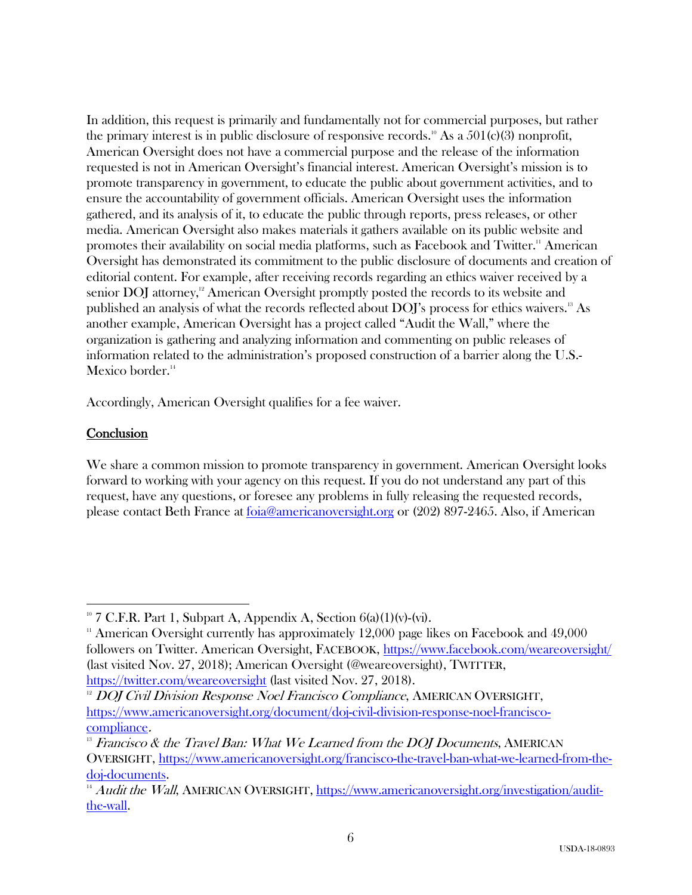In addition, this request is primarily and fundamentally not for commercial purposes, but rather the primary interest is in public disclosure of responsive records.<sup>10</sup> As a  $501(c)(3)$  nonprofit, American Oversight does not have a commercial purpose and the release of the information requested is not in American Oversight's financial interest. American Oversight's mission is to promote transparency in government, to educate the public about government activities, and to ensure the accountability of government officials. American Oversight uses the information gathered, and its analysis of it, to educate the public through reports, press releases, or other media. American Oversight also makes materials it gathers available on its public website and promotes their availability on social media platforms, such as Facebook and Twitter.<sup>11</sup> American Oversight has demonstrated its commitment to the public disclosure of documents and creation of editorial content. For example, after receiving records regarding an ethics waiver received by a senior DOJ attorney,<sup>12</sup> American Oversight promptly posted the records to its website and published an analysis of what the records reflected about DOJ's process for ethics waivers.13 As another example, American Oversight has a project called "Audit the Wall," where the organization is gathering and analyzing information and commenting on public releases of information related to the administration's proposed construction of a barrier along the U.S.- Mexico border.<sup>14</sup>

Accordingly, American Oversight qualifies for a fee waiver.

## **Conclusion**

 

We share a common mission to promote transparency in government. American Oversight looks forward to working with your agency on this request. If you do not understand any part of this request, have any questions, or foresee any problems in fully releasing the requested records, please contact Beth France at foia@americanoversight.org or (202) 897-2465. Also, if American

 $10^{\circ}$  7 C.F.R. Part 1, Subpart A, Appendix A, Section 6(a)(1)(v)-(vi).

 $11$  American Oversight currently has approximately 12,000 page likes on Facebook and 49,000 followers on Twitter. American Oversight, FACEBOOK, https://www.facebook.com/weareoversight/ (last visited Nov. 27, 2018); American Oversight (@weareoversight), TWITTER, https://twitter.com/weareoversight (last visited Nov. 27, 2018).

<sup>&</sup>lt;sup>12</sup> DOJ Civil Division Response Noel Francisco Compliance, AMERICAN OVERSIGHT, https://www.americanoversight.org/document/doj-civil-division-response-noel-franciscocompliance.

 $13$  Francisco & the Travel Ban: What We Learned from the DOJ Documents, AMERICAN OVERSIGHT, https://www.americanoversight.org/francisco-the-travel-ban-what-we-learned-from-thedoj-documents.

 $\overline{1/4}$  Audit the Wall, AMERICAN OVERSIGHT, https://www.americanoversight.org/investigation/auditthe-wall.